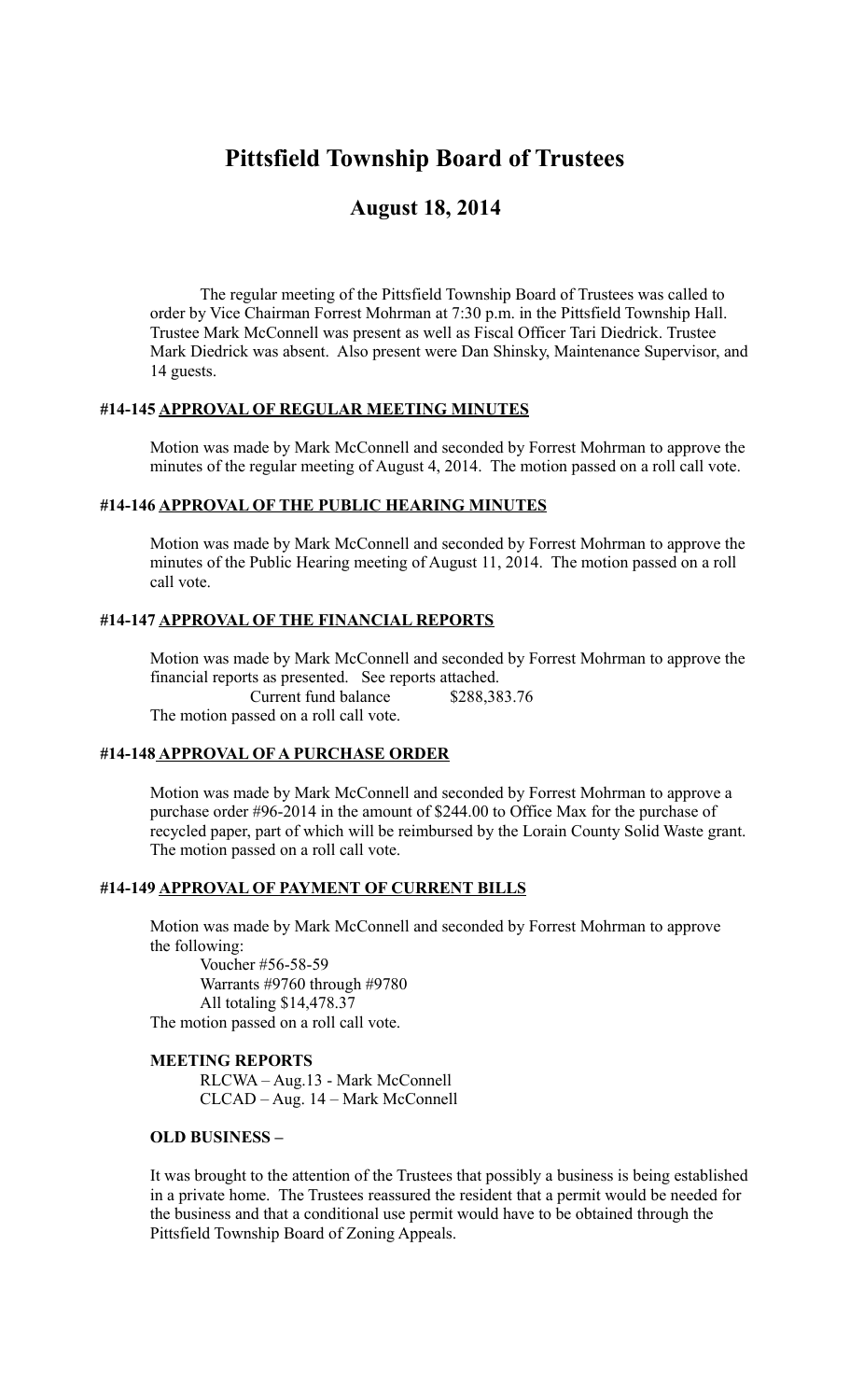# **Pittsfield Township Board of Trustees**

## **August 18, 2014**

The regular meeting of the Pittsfield Township Board of Trustees was called to order by Vice Chairman Forrest Mohrman at 7:30 p.m. in the Pittsfield Township Hall. Trustee Mark McConnell was present as well as Fiscal Officer Tari Diedrick. Trustee Mark Diedrick was absent. Also present were Dan Shinsky, Maintenance Supervisor, and 14 guests.

#### **#14-145 APPROVAL OF REGULAR MEETING MINUTES**

Motion was made by Mark McConnell and seconded by Forrest Mohrman to approve the minutes of the regular meeting of August 4, 2014. The motion passed on a roll call vote.

#### **#14-146 APPROVAL OF THE PUBLIC HEARING MINUTES**

Motion was made by Mark McConnell and seconded by Forrest Mohrman to approve the minutes of the Public Hearing meeting of August 11, 2014. The motion passed on a roll call vote.

#### **#14-147 APPROVAL OF THE FINANCIAL REPORTS**

Motion was made by Mark McConnell and seconded by Forrest Mohrman to approve the financial reports as presented. See reports attached. Current fund balance \$288,383.76

The motion passed on a roll call vote.

## **#14-148 APPROVAL OF A PURCHASE ORDER**

Motion was made by Mark McConnell and seconded by Forrest Mohrman to approve a purchase order #96-2014 in the amount of \$244.00 to Office Max for the purchase of recycled paper, part of which will be reimbursed by the Lorain County Solid Waste grant. The motion passed on a roll call vote.

#### **#14-149 APPROVAL OF PAYMENT OF CURRENT BILLS**

Motion was made by Mark McConnell and seconded by Forrest Mohrman to approve the following:

Voucher #56-58-59 Warrants #9760 through #9780 All totaling \$14,478.37 The motion passed on a roll call vote.

#### **MEETING REPORTS**

RLCWA – Aug.13 - Mark McConnell CLCAD – Aug. 14 – Mark McConnell

#### **OLD BUSINESS –**

It was brought to the attention of the Trustees that possibly a business is being established in a private home. The Trustees reassured the resident that a permit would be needed for the business and that a conditional use permit would have to be obtained through the Pittsfield Township Board of Zoning Appeals.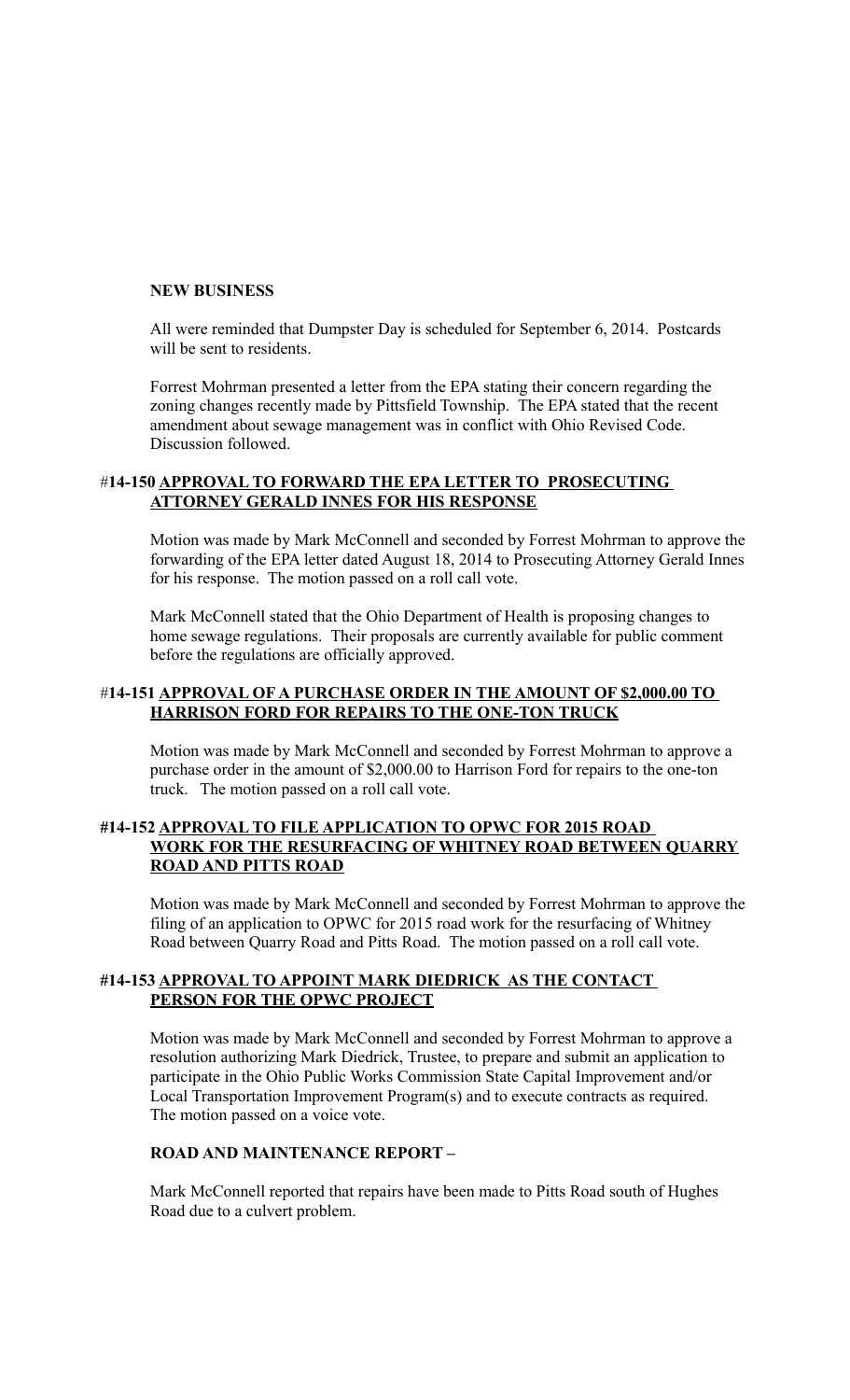#### **NEW BUSINESS**

All were reminded that Dumpster Day is scheduled for September 6, 2014. Postcards will be sent to residents.

Forrest Mohrman presented a letter from the EPA stating their concern regarding the zoning changes recently made by Pittsfield Township. The EPA stated that the recent amendment about sewage management was in conflict with Ohio Revised Code. Discussion followed.

#### #**14-150 APPROVAL TO FORWARD THE EPA LETTER TO PROSECUTING ATTORNEY GERALD INNES FOR HIS RESPONSE**

Motion was made by Mark McConnell and seconded by Forrest Mohrman to approve the forwarding of the EPA letter dated August 18, 2014 to Prosecuting Attorney Gerald Innes for his response. The motion passed on a roll call vote.

Mark McConnell stated that the Ohio Department of Health is proposing changes to home sewage regulations. Their proposals are currently available for public comment before the regulations are officially approved.

#### #**14-151 APPROVAL OF A PURCHASE ORDER IN THE AMOUNT OF \$2,000.00 TO HARRISON FORD FOR REPAIRS TO THE ONE-TON TRUCK**

Motion was made by Mark McConnell and seconded by Forrest Mohrman to approve a purchase order in the amount of \$2,000.00 to Harrison Ford for repairs to the one-ton truck. The motion passed on a roll call vote.

#### **#14-152 APPROVAL TO FILE APPLICATION TO OPWC FOR 2015 ROAD WORK FOR THE RESURFACING OF WHITNEY ROAD BETWEEN QUARRY ROAD AND PITTS ROAD**

Motion was made by Mark McConnell and seconded by Forrest Mohrman to approve the filing of an application to OPWC for 2015 road work for the resurfacing of Whitney Road between Quarry Road and Pitts Road. The motion passed on a roll call vote.

#### **#14-153 APPROVAL TO APPOINT MARK DIEDRICK AS THE CONTACT PERSON FOR THE OPWC PROJECT**

Motion was made by Mark McConnell and seconded by Forrest Mohrman to approve a resolution authorizing Mark Diedrick, Trustee, to prepare and submit an application to participate in the Ohio Public Works Commission State Capital Improvement and/or Local Transportation Improvement Program(s) and to execute contracts as required. The motion passed on a voice vote.

## **ROAD AND MAINTENANCE REPORT –**

Mark McConnell reported that repairs have been made to Pitts Road south of Hughes Road due to a culvert problem.